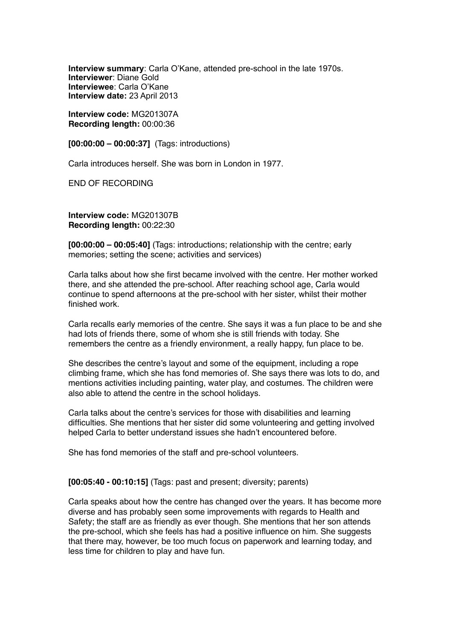**Interview summary**: Carla O'Kane, attended pre-school in the late 1970s. **Interviewer**: Diane Gold **Interviewee**: Carla O'Kane **Interview date:** 23 April 2013

**Interview code:** MG201307A **Recording length:** 00:00:36

**[00:00:00 – 00:00:37]** (Tags: introductions)

Carla introduces herself. She was born in London in 1977.

END OF RECORDING

**Interview code:** MG201307B **Recording length:** 00:22:30

**[00:00:00 – 00:05:40]** (Tags: introductions; relationship with the centre; early memories; setting the scene; activities and services)

Carla talks about how she first became involved with the centre. Her mother worked there, and she attended the pre-school. After reaching school age, Carla would continue to spend afternoons at the pre-school with her sister, whilst their mother finished work.

Carla recalls early memories of the centre. She says it was a fun place to be and she had lots of friends there, some of whom she is still friends with today. She remembers the centre as a friendly environment, a really happy, fun place to be.

She describes the centre's layout and some of the equipment, including a rope climbing frame, which she has fond memories of. She says there was lots to do, and mentions activities including painting, water play, and costumes. The children were also able to attend the centre in the school holidays.

Carla talks about the centre's services for those with disabilities and learning difficulties. She mentions that her sister did some volunteering and getting involved helped Carla to better understand issues she hadn't encountered before.

She has fond memories of the staff and pre-school volunteers.

**[00:05:40 - 00:10:15]** (Tags: past and present; diversity; parents)

Carla speaks about how the centre has changed over the years. It has become more diverse and has probably seen some improvements with regards to Health and Safety; the staff are as friendly as ever though. She mentions that her son attends the pre-school, which she feels has had a positive influence on him. She suggests that there may, however, be too much focus on paperwork and learning today, and less time for children to play and have fun.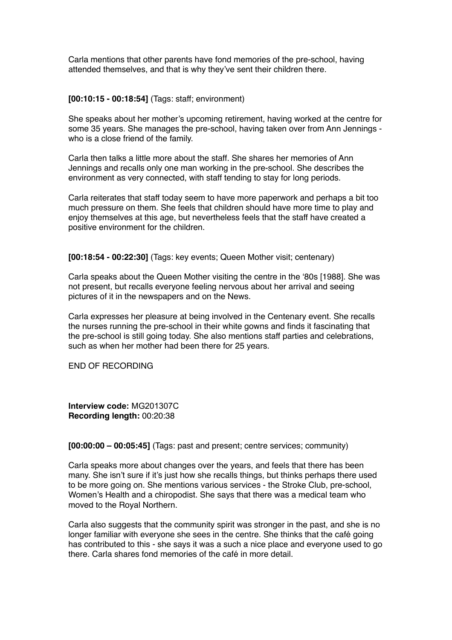Carla mentions that other parents have fond memories of the pre-school, having attended themselves, and that is why they've sent their children there.

## **[00:10:15 - 00:18:54]** (Tags: staff; environment)

She speaks about her mother's upcoming retirement, having worked at the centre for some 35 years. She manages the pre-school, having taken over from Ann Jennings who is a close friend of the family.

Carla then talks a little more about the staff. She shares her memories of Ann Jennings and recalls only one man working in the pre-school. She describes the environment as very connected, with staff tending to stay for long periods.

Carla reiterates that staff today seem to have more paperwork and perhaps a bit too much pressure on them. She feels that children should have more time to play and enjoy themselves at this age, but nevertheless feels that the staff have created a positive environment for the children.

**[00:18:54 - 00:22:30]** (Tags: key events; Queen Mother visit; centenary)

Carla speaks about the Queen Mother visiting the centre in the '80s [1988]. She was not present, but recalls everyone feeling nervous about her arrival and seeing pictures of it in the newspapers and on the News.

Carla expresses her pleasure at being involved in the Centenary event. She recalls the nurses running the pre-school in their white gowns and finds it fascinating that the pre-school is still going today. She also mentions staff parties and celebrations, such as when her mother had been there for 25 years.

END OF RECORDING

**Interview code:** MG201307C **Recording length:** 00:20:38

**[00:00:00 – 00:05:45]** (Tags: past and present; centre services; community)

Carla speaks more about changes over the years, and feels that there has been many. She isn't sure if it's just how she recalls things, but thinks perhaps there used to be more going on. She mentions various services - the Stroke Club, pre-school, Women's Health and a chiropodist. She says that there was a medical team who moved to the Royal Northern.

Carla also suggests that the community spirit was stronger in the past, and she is no longer familiar with everyone she sees in the centre. She thinks that the café going has contributed to this - she says it was a such a nice place and everyone used to go there. Carla shares fond memories of the café in more detail.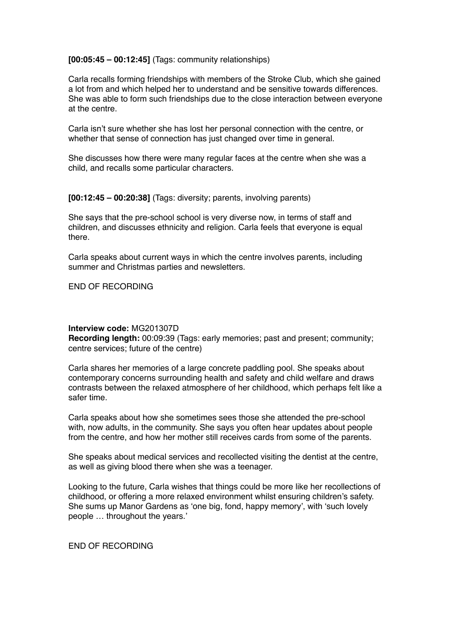**[00:05:45 – 00:12:45]** (Tags: community relationships)

Carla recalls forming friendships with members of the Stroke Club, which she gained a lot from and which helped her to understand and be sensitive towards differences. She was able to form such friendships due to the close interaction between everyone at the centre.

Carla isn't sure whether she has lost her personal connection with the centre, or whether that sense of connection has just changed over time in general.

She discusses how there were many regular faces at the centre when she was a child, and recalls some particular characters.

**[00:12:45 – 00:20:38]** (Tags: diversity; parents, involving parents)

She says that the pre-school school is very diverse now, in terms of staff and children, and discusses ethnicity and religion. Carla feels that everyone is equal there.

Carla speaks about current ways in which the centre involves parents, including summer and Christmas parties and newsletters.

END OF RECORDING

## **Interview code:** MG201307D

**Recording length:** 00:09:39 (Tags: early memories; past and present; community; centre services; future of the centre)

Carla shares her memories of a large concrete paddling pool. She speaks about contemporary concerns surrounding health and safety and child welfare and draws contrasts between the relaxed atmosphere of her childhood, which perhaps felt like a safer time.

Carla speaks about how she sometimes sees those she attended the pre-school with, now adults, in the community. She says you often hear updates about people from the centre, and how her mother still receives cards from some of the parents.

She speaks about medical services and recollected visiting the dentist at the centre, as well as giving blood there when she was a teenager.

Looking to the future, Carla wishes that things could be more like her recollections of childhood, or offering a more relaxed environment whilst ensuring children's safety. She sums up Manor Gardens as 'one big, fond, happy memory', with 'such lovely people … throughout the years.'

END OF RECORDING